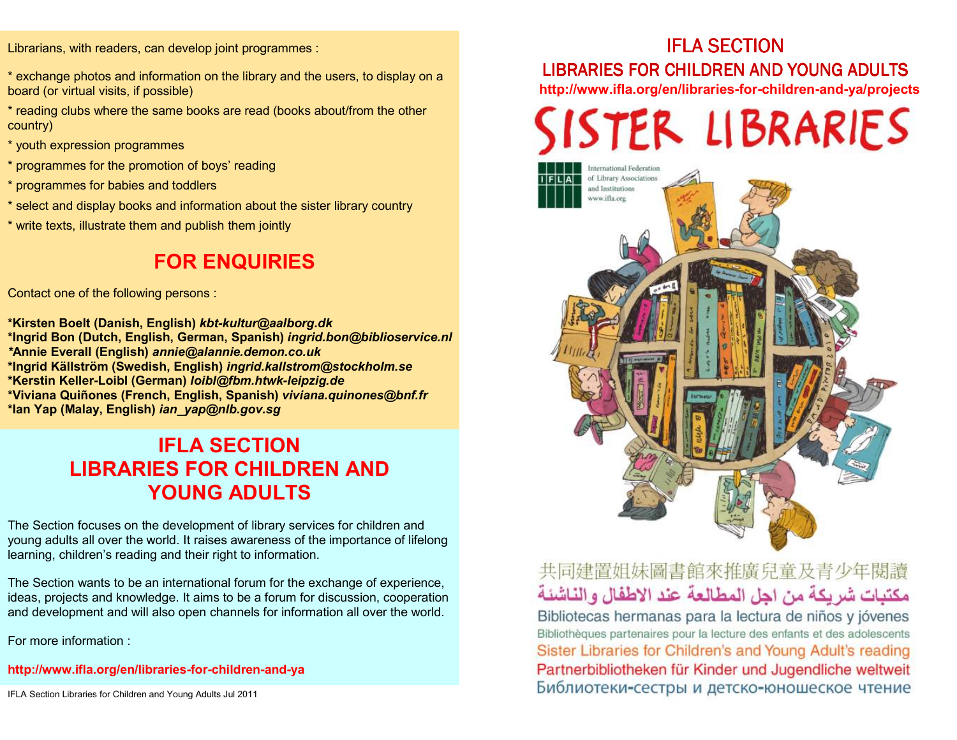Librarians, with readers, can develop joint programmes :

- \* exchange photos and information on the library and the users, to display on a board (or virtual visits, if possible)
- \* reading clubs where the same books are read (books about/from the other country)
- \* youth expression programmes
- \* programmes for the promotion of boys' reading
- \* programmes for babies and toddlers
- \* select and display books and information about the sister library country
- \* write texts, illustrate them and publish them jointly

## **FOR ENQUIRIES**

Contact one of the following persons :

**\*Kirsten Boelt (Danish, English)** *kbt-kultur@aalborg.dk* **\*Ingrid Bon (Dutch, English, German, Spanish)** *ingrid.bon@biblioservice.nl \****Annie Everall (English)** *annie@alannie.demon.co.uk* **\*Ingrid Källström (Swedish, English)** *ingrid.kallstrom@stockholm.se* **\*Kerstin Keller-Loibl (German)** *loibl@fbm.htwk-leipzig.de*  **\*Viviana Quiñones (French, English, Spanish)** *viviana.quinones@bnf.fr* **\*Ian Yap (Malay, English)** *ian\_yap@nlb.gov.sg*

#### **IFLA SECTION LIBRARIES FOR CHILDREN AND YOUNG ADULTS**

The Section focuses on the development of library services for children and young adults all over the world. It raises awareness of the importance of lifelong learning, children's reading and their right to information.

The Section wants to be an international forum for the exchange of experience, ideas, projects and knowledge. It aims to be a forum for discussion, cooperation and development and will also open channels for information all over the world.

For more information :

**http://www.ifla.org/en/libraries-for-children-and-ya** 

#### IFLA SECTION

#### LIBRARIES FOR CHILDREN AND YOUNG ADULTS

**http://www.ifla.org/en/libraries-for-children-and-ya/projects** 



#### 共同建置姐妹圖書館來推廣兒童及青少年閱讀 مكتبات شريكة من اجل المطالعة عند الاطفال والناشئة

Bibliotecas hermanas para la lectura de niños y jóvenes Bibliothèques partenaires pour la lecture des enfants et des adolescents Sister Libraries for Children's and Young Adult's reading Partnerbibliotheken für Kinder und Jugendliche weltweit Библиотеки-сестры и детско-юношеское чтение